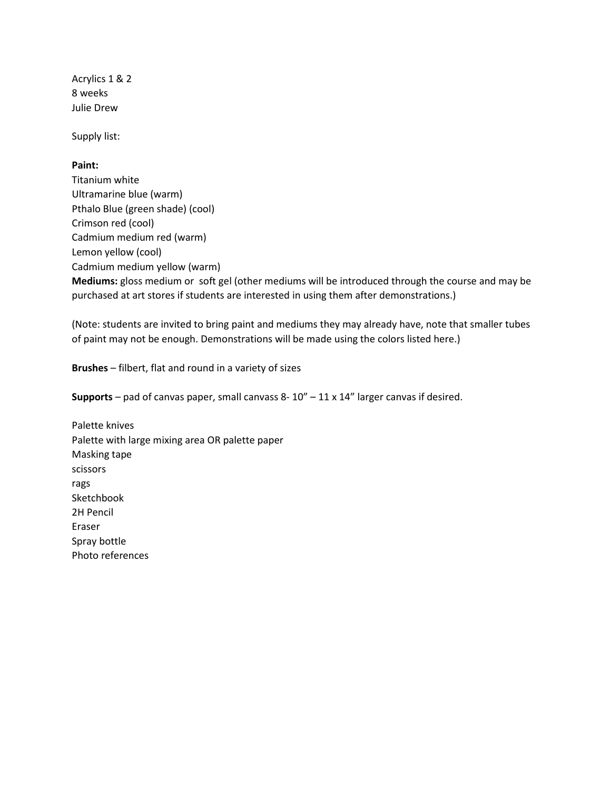Acrylics 1 & 2 8 weeks Julie Drew

Supply list:

# **Paint:**

Titanium white Ultramarine blue (warm) Pthalo Blue (green shade) (cool) Crimson red (cool) Cadmium medium red (warm) Lemon yellow (cool) Cadmium medium yellow (warm) **Mediums:** gloss medium or soft gel (other mediums will be introduced through the course and may be purchased at art stores if students are interested in using them after demonstrations.)

(Note: students are invited to bring paint and mediums they may already have, note that smaller tubes of paint may not be enough. Demonstrations will be made using the colors listed here.)

**Brushes** – filbert, flat and round in a variety of sizes

**Supports** – pad of canvas paper, small canvass 8- 10" – 11 x 14" larger canvas if desired.

Palette knives Palette with large mixing area OR palette paper Masking tape scissors rags Sketchbook 2H Pencil Eraser Spray bottle Photo references